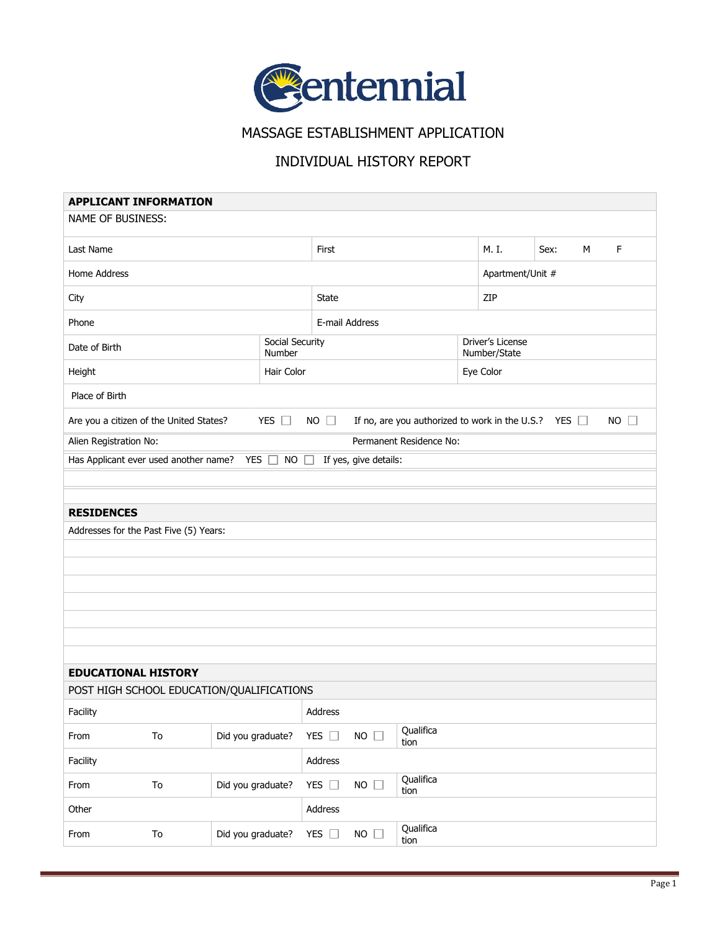

MASSAGE ESTABLISHMENT APPLICATION

## INDIVIDUAL HISTORY REPORT

| <b>APPLICANT INFORMATION</b>                                                                                                                     |            |                           |                |               |                |                         |       |                                  |   |   |  |
|--------------------------------------------------------------------------------------------------------------------------------------------------|------------|---------------------------|----------------|---------------|----------------|-------------------------|-------|----------------------------------|---|---|--|
| <b>NAME OF BUSINESS:</b>                                                                                                                         |            |                           |                |               |                |                         |       |                                  |   |   |  |
| Last Name                                                                                                                                        |            |                           | First          |               |                |                         | M. I. | Sex:                             | M | F |  |
| Home Address                                                                                                                                     |            |                           |                |               |                |                         |       | Apartment/Unit #                 |   |   |  |
| City                                                                                                                                             |            |                           | State          |               |                |                         | ZIP   |                                  |   |   |  |
| Phone                                                                                                                                            |            |                           | E-mail Address |               |                |                         |       |                                  |   |   |  |
| Date of Birth                                                                                                                                    |            | Social Security<br>Number |                |               |                |                         |       | Driver's License<br>Number/State |   |   |  |
| Height                                                                                                                                           |            | Hair Color                |                |               |                |                         |       | Eye Color                        |   |   |  |
| Place of Birth                                                                                                                                   |            |                           |                |               |                |                         |       |                                  |   |   |  |
| YES $\Box$<br>$NO$ $\Box$<br>$NO$ $\Box$<br>Are you a citizen of the United States?<br>If no, are you authorized to work in the U.S.? YES $\Box$ |            |                           |                |               |                |                         |       |                                  |   |   |  |
| Alien Registration No:                                                                                                                           |            |                           |                |               |                | Permanent Residence No: |       |                                  |   |   |  |
| Has Applicant ever used another name? YES $\Box$ NO $\Box$<br>If yes, give details:                                                              |            |                           |                |               |                |                         |       |                                  |   |   |  |
|                                                                                                                                                  |            |                           |                |               |                |                         |       |                                  |   |   |  |
|                                                                                                                                                  |            |                           |                |               |                |                         |       |                                  |   |   |  |
| <b>RESIDENCES</b>                                                                                                                                |            |                           |                |               |                |                         |       |                                  |   |   |  |
| Addresses for the Past Five (5) Years:                                                                                                           |            |                           |                |               |                |                         |       |                                  |   |   |  |
|                                                                                                                                                  |            |                           |                |               |                |                         |       |                                  |   |   |  |
|                                                                                                                                                  |            |                           |                |               |                |                         |       |                                  |   |   |  |
|                                                                                                                                                  |            |                           |                |               |                |                         |       |                                  |   |   |  |
|                                                                                                                                                  |            |                           |                |               |                |                         |       |                                  |   |   |  |
|                                                                                                                                                  |            |                           |                |               |                |                         |       |                                  |   |   |  |
|                                                                                                                                                  |            |                           |                |               |                |                         |       |                                  |   |   |  |
|                                                                                                                                                  |            |                           |                |               |                |                         |       |                                  |   |   |  |
| <b>EDUCATIONAL HISTORY</b>                                                                                                                       |            |                           |                |               |                |                         |       |                                  |   |   |  |
| POST HIGH SCHOOL EDUCATION/QUALIFICATIONS                                                                                                        |            |                           |                |               |                |                         |       |                                  |   |   |  |
| Facility                                                                                                                                         |            |                           |                | Address       |                |                         |       |                                  |   |   |  |
| From                                                                                                                                             | To         | Did you graduate?         |                | YES $\square$ | $NO$ $\square$ | Qualifica<br>tion       |       |                                  |   |   |  |
| Facility                                                                                                                                         |            |                           |                | Address       |                |                         |       |                                  |   |   |  |
| From                                                                                                                                             | ${\tt To}$ | Did you graduate?         |                | YES $\square$ | $NO \square$   | Qualifica<br>tion       |       |                                  |   |   |  |
| Other                                                                                                                                            |            |                           |                | Address       |                |                         |       |                                  |   |   |  |
| From                                                                                                                                             | ${\tt To}$ | Did you graduate?         |                | YES $\square$ | $NO$ $\Box$    | Qualifica<br>tion       |       |                                  |   |   |  |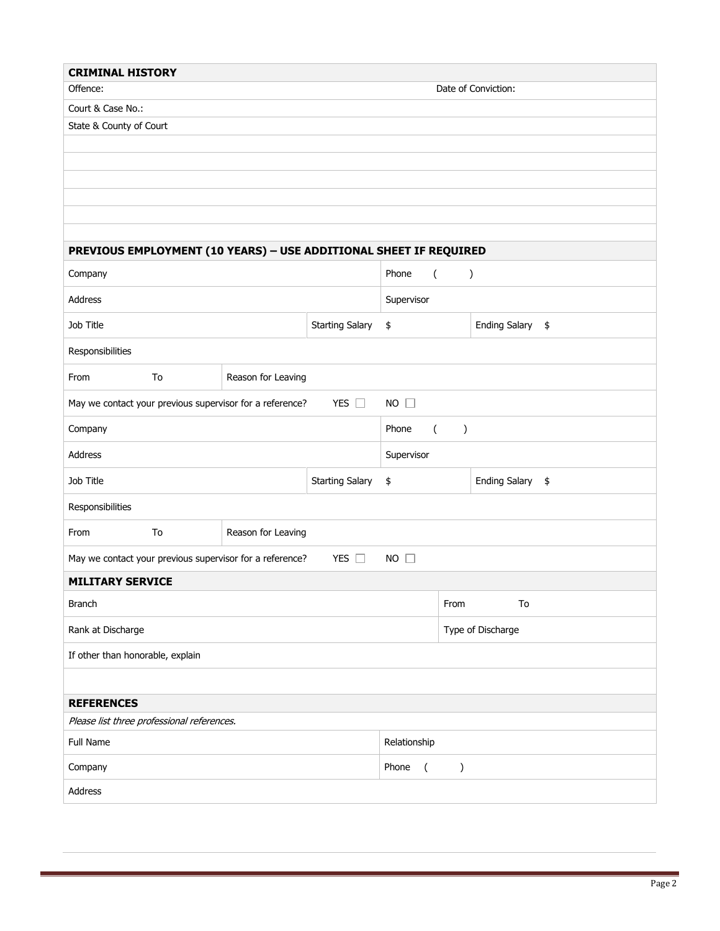| <b>CRIMINAL HISTORY</b>                                                                     |              |                    |    |                                            |  |                                   |               |  |  |  |
|---------------------------------------------------------------------------------------------|--------------|--------------------|----|--------------------------------------------|--|-----------------------------------|---------------|--|--|--|
| Offence:<br>Date of Conviction:                                                             |              |                    |    |                                            |  |                                   |               |  |  |  |
| Court & Case No.:                                                                           |              |                    |    |                                            |  |                                   |               |  |  |  |
| State & County of Court                                                                     |              |                    |    |                                            |  |                                   |               |  |  |  |
|                                                                                             |              |                    |    |                                            |  |                                   |               |  |  |  |
|                                                                                             |              |                    |    |                                            |  |                                   |               |  |  |  |
|                                                                                             |              |                    |    |                                            |  |                                   |               |  |  |  |
|                                                                                             |              |                    |    |                                            |  |                                   |               |  |  |  |
|                                                                                             |              |                    |    |                                            |  |                                   |               |  |  |  |
| PREVIOUS EMPLOYMENT (10 YEARS) - USE ADDITIONAL SHEET IF REQUIRED                           |              |                    |    |                                            |  |                                   |               |  |  |  |
| Company                                                                                     |              |                    |    | Phone<br>$\overline{(\ }$<br>$\mathcal{C}$ |  |                                   |               |  |  |  |
| Address                                                                                     |              |                    |    | Supervisor                                 |  |                                   |               |  |  |  |
| Job Title                                                                                   |              |                    |    | \$                                         |  | <b>Ending Salary</b>              | $\frac{1}{2}$ |  |  |  |
| Responsibilities                                                                            |              |                    |    |                                            |  |                                   |               |  |  |  |
| From                                                                                        | To           | Reason for Leaving |    |                                            |  |                                   |               |  |  |  |
| YES $\square$<br>$NO$ $\square$<br>May we contact your previous supervisor for a reference? |              |                    |    |                                            |  |                                   |               |  |  |  |
| Phone<br>Company                                                                            |              |                    |    |                                            |  | $\overline{(\ }$<br>$\mathcal{C}$ |               |  |  |  |
| Address                                                                                     |              |                    |    | Supervisor                                 |  |                                   |               |  |  |  |
| Job Title<br><b>Starting Salary</b>                                                         |              |                    |    | \$                                         |  | <b>Ending Salary</b>              | \$            |  |  |  |
| Responsibilities                                                                            |              |                    |    |                                            |  |                                   |               |  |  |  |
| From                                                                                        | To           | Reason for Leaving |    |                                            |  |                                   |               |  |  |  |
| May we contact your previous supervisor for a reference?                                    | $NO$ $\Box$  |                    |    |                                            |  |                                   |               |  |  |  |
| <b>MILITARY SERVICE</b>                                                                     |              |                    |    |                                            |  |                                   |               |  |  |  |
| <b>Branch</b>                                                                               |              | From               | To |                                            |  |                                   |               |  |  |  |
| Rank at Discharge                                                                           |              | Type of Discharge  |    |                                            |  |                                   |               |  |  |  |
| If other than honorable, explain                                                            |              |                    |    |                                            |  |                                   |               |  |  |  |
|                                                                                             |              |                    |    |                                            |  |                                   |               |  |  |  |
| <b>REFERENCES</b>                                                                           |              |                    |    |                                            |  |                                   |               |  |  |  |
| Please list three professional references.                                                  |              |                    |    |                                            |  |                                   |               |  |  |  |
| Full Name                                                                                   | Relationship |                    |    |                                            |  |                                   |               |  |  |  |
| Company                                                                                     |              |                    |    | Phone<br>$\mathcal{C}$<br>$\overline{ }$   |  |                                   |               |  |  |  |
| Address                                                                                     |              |                    |    |                                            |  |                                   |               |  |  |  |